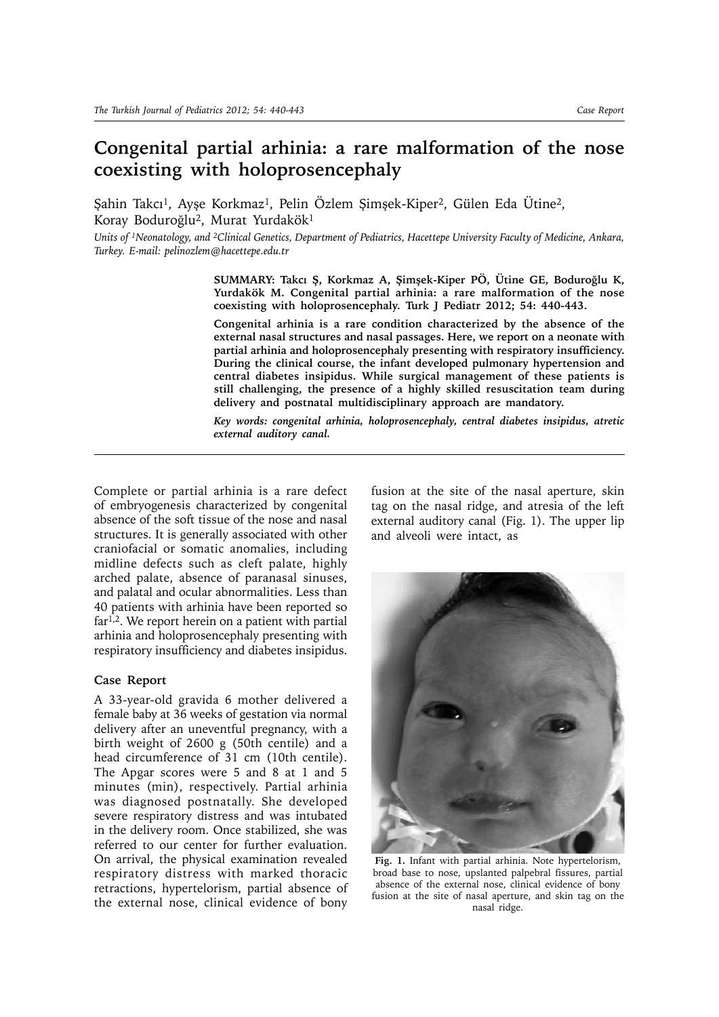## **Congenital partial arhinia: a rare malformation of the nose coexisting with holoprosencephaly**

Şahin Takcı<sup>1</sup>, Ayşe Korkmaz<sup>1</sup>, Pelin Özlem Şimşek-Kiper<sup>2</sup>, Gülen Eda Ütine<sup>2</sup>, Koray Boduroğlu2, Murat Yurdakök1

*Units of 1Neonatology, and 2Clinical Genetics, Department of Pediatrics, Hacettepe University Faculty of Medicine, Ankara, Turkey. E-mail: pelinozlem@hacettepe.edu.tr*

> **SUMMARY: Takcı Ş, Korkmaz A, Şimşek-Kiper PÖ, Ütine GE, Boduroğlu K, Yurdakök M. Congenital partial arhinia: a rare malformation of the nose coexisting with holoprosencephaly. Turk J Pediatr 2012; 54: 440-443.**

> **Congenital arhinia is a rare condition characterized by the absence of the external nasal structures and nasal passages. Here, we report on a neonate with partial arhinia and holoprosencephaly presenting with respiratory insufficiency. During the clinical course, the infant developed pulmonary hypertension and central diabetes insipidus. While surgical management of these patients is still challenging, the presence of a highly skilled resuscitation team during delivery and postnatal multidisciplinary approach are mandatory.**

> *Key words: congenital arhinia, holoprosencephaly, central diabetes insipidus, atretic external auditory canal.*

Complete or partial arhinia is a rare defect of embryogenesis characterized by congenital absence of the soft tissue of the nose and nasal structures. It is generally associated with other craniofacial or somatic anomalies, including midline defects such as cleft palate, highly arched palate, absence of paranasal sinuses, and palatal and ocular abnormalities. Less than 40 patients with arhinia have been reported so  $far<sup>1,2</sup>$ . We report herein on a patient with partial arhinia and holoprosencephaly presenting with respiratory insufficiency and diabetes insipidus.

## **Case Report**

A 33-year-old gravida 6 mother delivered a female baby at 36 weeks of gestation via normal delivery after an uneventful pregnancy, with a birth weight of 2600 g (50th centile) and a head circumference of 31 cm (10th centile). The Apgar scores were 5 and 8 at 1 and 5 minutes (min), respectively. Partial arhinia was diagnosed postnatally. She developed severe respiratory distress and was intubated in the delivery room. Once stabilized, she was referred to our center for further evaluation. On arrival, the physical examination revealed respiratory distress with marked thoracic retractions, hypertelorism, partial absence of the external nose, clinical evidence of bony

fusion at the site of the nasal aperture, skin tag on the nasal ridge, and atresia of the left external auditory canal (Fig. 1). The upper lip and alveoli were intact, as



**Fig. 1.** Infant with partial arhinia. Note hypertelorism, broad base to nose, upslanted palpebral fissures, partial absence of the external nose, clinical evidence of bony fusion at the site of nasal aperture, and skin tag on the nasal ridge.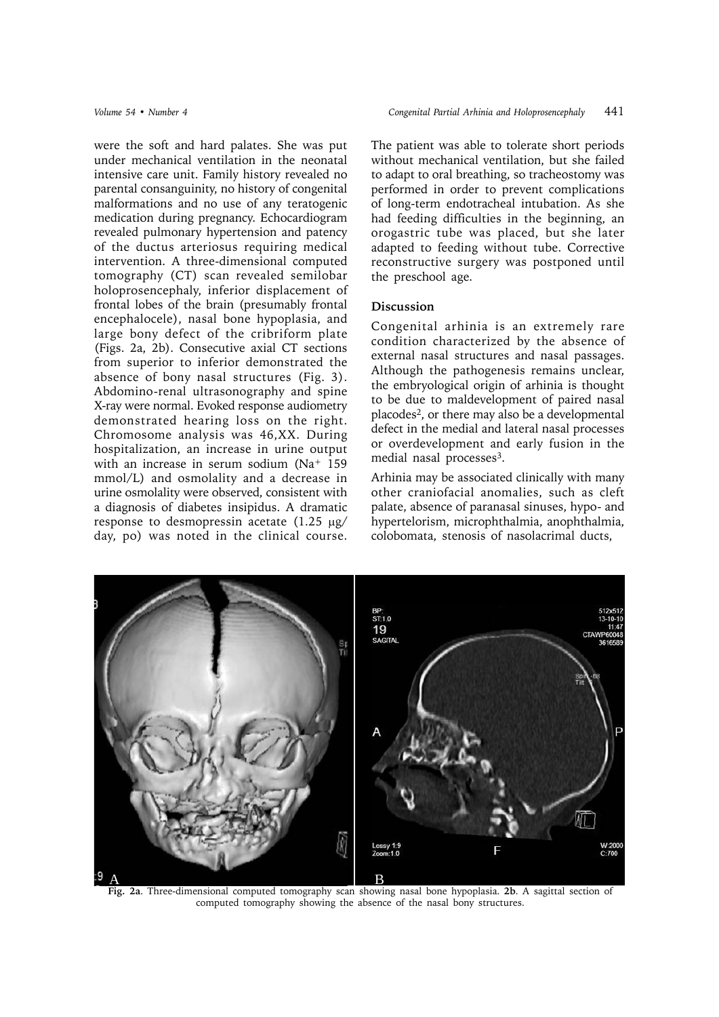were the soft and hard palates. She was put under mechanical ventilation in the neonatal intensive care unit. Family history revealed no parental consanguinity, no history of congenital malformations and no use of any teratogenic medication during pregnancy. Echocardiogram revealed pulmonary hypertension and patency of the ductus arteriosus requiring medical intervention. A three-dimensional computed tomography (CT) scan revealed semilobar holoprosencephaly, inferior displacement of frontal lobes of the brain (presumably frontal encephalocele), nasal bone hypoplasia, and large bony defect of the cribriform plate (Figs. 2a, 2b). Consecutive axial CT sections from superior to inferior demonstrated the absence of bony nasal structures (Fig. 3). Abdomino-renal ultrasonography and spine X-ray were normal. Evoked response audiometry demonstrated hearing loss on the right. Chromosome analysis was 46,XX. During hospitalization, an increase in urine output with an increase in serum sodium (Na<sup>+</sup> 159 mmol/L) and osmolality and a decrease in urine osmolality were observed, consistent with a diagnosis of diabetes insipidus. A dramatic response to desmopressin acetate  $(1.25 \text{ µg}$ day, po) was noted in the clinical course. The patient was able to tolerate short periods without mechanical ventilation, but she failed to adapt to oral breathing, so tracheostomy was performed in order to prevent complications of long-term endotracheal intubation. As she had feeding difficulties in the beginning, an orogastric tube was placed, but she later adapted to feeding without tube. Corrective reconstructive surgery was postponed until the preschool age.

## **Discussion**

Congenital arhinia is an extremely rare condition characterized by the absence of external nasal structures and nasal passages. Although the pathogenesis remains unclear, the embryological origin of arhinia is thought to be due to maldevelopment of paired nasal placodes2, or there may also be a developmental defect in the medial and lateral nasal processes or overdevelopment and early fusion in the medial nasal processes<sup>3</sup>.

Arhinia may be associated clinically with many other craniofacial anomalies, such as cleft palate, absence of paranasal sinuses, hypo- and hypertelorism, microphthalmia, anophthalmia, colobomata, stenosis of nasolacrimal ducts,



computed tomography showing the absence of the nasal bony structures.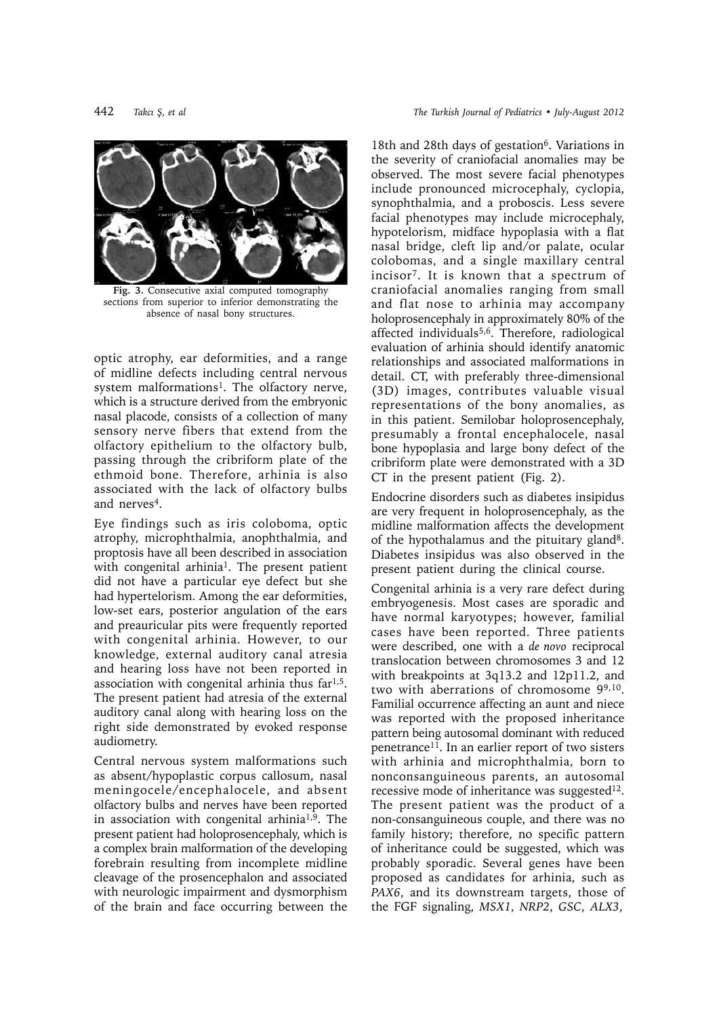

Fig. 3. Consecutive axial computed tomography sections from superior to inferior demonstrating the absence of nasal bony structures.

optic atrophy, ear deformities, and a range of midline defects including central nervous system malformations<sup>1</sup>. The olfactory nerve, which is a structure derived from the embryonic nasal placode, consists of a collection of many sensory nerve fibers that extend from the olfactory epithelium to the olfactory bulb, passing through the cribriform plate of the ethmoid bone. Therefore, arhinia is also associated with the lack of olfactory bulbs and nerves<sup>4</sup>.

Eye findings such as iris coloboma, optic atrophy, microphthalmia, anophthalmia, and proptosis have all been described in association with congenital arhinia<sup>1</sup>. The present patient did not have a particular eye defect but she had hypertelorism. Among the ear deformities, low-set ears, posterior angulation of the ears and preauricular pits were frequently reported with congenital arhinia. However, to our knowledge, external auditory canal atresia and hearing loss have not been reported in association with congenital arhinia thus far1,5. The present patient had atresia of the external auditory canal along with hearing loss on the right side demonstrated by evoked response audiometry.

Central nervous system malformations such as absent/hypoplastic corpus callosum, nasal meningocele/encephalocele, and absent olfactory bulbs and nerves have been reported in association with congenital arhinia1,9. The present patient had holoprosencephaly, which is a complex brain malformation of the developing forebrain resulting from incomplete midline cleavage of the prosencephalon and associated with neurologic impairment and dysmorphism of the brain and face occurring between the

18th and 28th days of gestation<sup>6</sup>. Variations in the severity of craniofacial anomalies may be observed. The most severe facial phenotypes include pronounced microcephaly, cyclopia, synophthalmia, and a proboscis. Less severe facial phenotypes may include microcephaly, hypotelorism, midface hypoplasia with a flat nasal bridge, cleft lip and/or palate, ocular colobomas, and a single maxillary central incisor7. It is known that a spectrum of craniofacial anomalies ranging from small and flat nose to arhinia may accompany holoprosencephaly in approximately 80% of the affected individuals $5,6$ . Therefore, radiological evaluation of arhinia should identify anatomic relationships and associated malformations in detail. CT, with preferably three-dimensional (3D) images, contributes valuable visual representations of the bony anomalies, as in this patient. Semilobar holoprosencephaly, presumably a frontal encephalocele, nasal bone hypoplasia and large bony defect of the cribriform plate were demonstrated with a 3D CT in the present patient (Fig. 2).

Endocrine disorders such as diabetes insipidus are very frequent in holoprosencephaly, as the midline malformation affects the development of the hypothalamus and the pituitary gland8. Diabetes insipidus was also observed in the present patient during the clinical course.

Congenital arhinia is a very rare defect during embryogenesis. Most cases are sporadic and have normal karyotypes; however, familial cases have been reported. Three patients were described, one with a *de novo* reciprocal translocation between chromosomes 3 and 12 with breakpoints at 3q13.2 and 12p11.2, and two with aberrations of chromosome 99,10. Familial occurrence affecting an aunt and niece was reported with the proposed inheritance pattern being autosomal dominant with reduced penetrance11. In an earlier report of two sisters with arhinia and microphthalmia, born to nonconsanguineous parents, an autosomal recessive mode of inheritance was suggested<sup>12</sup>. The present patient was the product of a non-consanguineous couple, and there was no family history; therefore, no specific pattern of inheritance could be suggested, which was probably sporadic. Several genes have been proposed as candidates for arhinia, such as *PAX6*, and its downstream targets, those of the FGF signaling, *MSX1*, *NRP2*, *GSC*, *ALX3*,